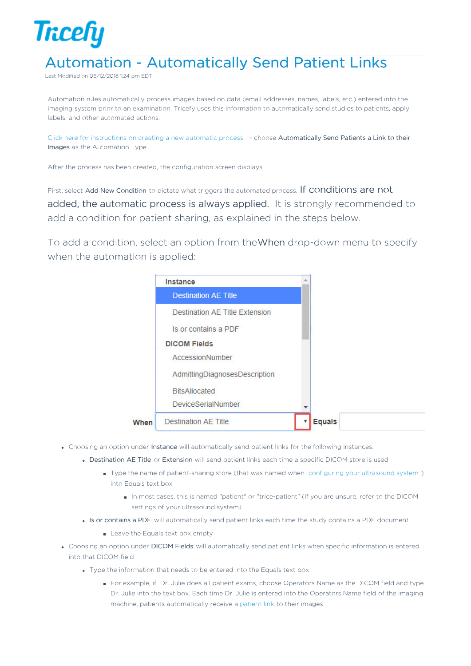

## Automation - Automatically Send Patient Links

Last Modified on 06/12/2018 1:24 pm EDT

Automation rules automatically process images based on data (email addresses, names, labels, etc.) entered into the imaging system prior to an examination. Tricefy uses this information to automatically send studies to patients, apply labels, and other automated actions.

Click here for instructions on creating a new automatic process - choose Automatically Send Patients a Link to their Images as the Automation Type.

After the process has been created, the configuration screen displays.

First, select Add New Condition to dictate what triggers the automated process. If conditions are not added, the automatic process is always applied. It is strongly recommended to add a condition for patient sharing, as explained in the steps below.

To add a condition, select an option from theWhen drop-down menu to specify when the automation is applied:

|      | Instance                       |               |
|------|--------------------------------|---------------|
|      | <b>Destination AE Title</b>    |               |
|      | Destination AE Title Extension |               |
|      | Is or contains a PDF           |               |
|      | <b>DICOM Fields</b>            |               |
|      | AccessionNumber                |               |
|      | AdmittingDiagnosesDescription  |               |
|      | <b>BitsAllocated</b>           |               |
|      | DeviceSerialNumber             |               |
| When | <b>Destination AE Title</b>    | <b>Equals</b> |

- Choosing an option under Instance will automatically send patient links for the following instances:
	- Destination AE Title or Extension will send patient links each time a specific DICOM store is used
		- Type the name of patient-sharing store (that was named when configuring your ultrasound system) into Equals text box
			- In most cases, this is named "patient" or "trice-patient" (if you are unsure, refer to the DICOM settings of your ultrasound system)
	- Is or contains a PDF will automatically send patient links each time the study contains a PDF document
		- Leave the Equals text box empty
- Choosing an option under DICOM Fields will automatically send patient links when specific information is entered into that DICOM field
	- Type the information that needs to be entered into the Equals text box
		- For example, if Dr. Julie does all patient exams, choose Operators Name as the DICOM field and type Dr. Julie into the text box. Each time Dr. Julie is entered into the Operators Name field of the imaging machine, patients automatically receive a patient link to their images.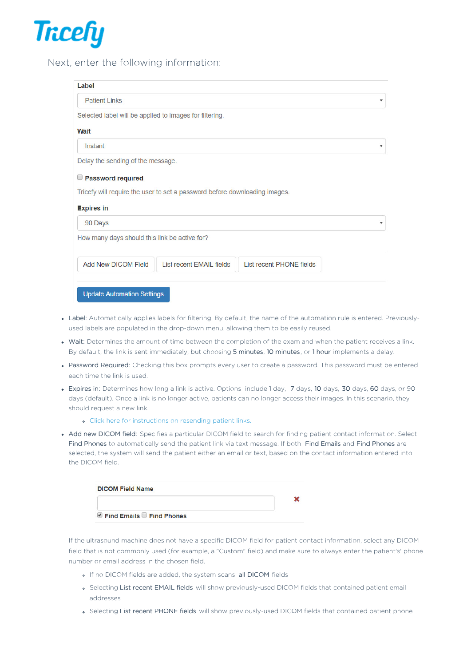

## Next, enter the following information:

| Label                                                   |                                                                            |                          |  |
|---------------------------------------------------------|----------------------------------------------------------------------------|--------------------------|--|
| <b>Patient Links</b>                                    |                                                                            |                          |  |
| Selected label will be applied to images for filtering. |                                                                            |                          |  |
| Wait                                                    |                                                                            |                          |  |
| Instant                                                 |                                                                            |                          |  |
| Delay the sending of the message.                       |                                                                            |                          |  |
| Password required                                       |                                                                            |                          |  |
|                                                         | Tricefy will require the user to set a password before downloading images. |                          |  |
|                                                         |                                                                            |                          |  |
|                                                         |                                                                            |                          |  |
| <b>Expires in</b>                                       |                                                                            |                          |  |
| 90 Days                                                 |                                                                            |                          |  |
| How many days should this link be active for?           |                                                                            |                          |  |
| <b>Add New DICOM Field</b>                              | List recent EMAIL fields                                                   | List recent PHONE fields |  |

- Label: Automatically applies labels for filtering. By default, the name of the automation rule is entered. Previouslyused labels are populated in the drop-down menu, allowing them to be easily reused.
- Wait: Determines the amount of time between the completion of the exam and when the patient receives a link. By default, the link is sent immediately, but choosing 5 minutes, 10 minutes, or 1 hour implements a delay.
- Password Required: Checking this box prompts every user to create a password. This password must be entered each time the link is used.
- Expires in: Determines how long a link is active. Options include 1 day, 7 days, 10 days, 30 days, 60 days, or 90 days (default). Once a link is no longer active, patients can no longer access their images. In this scenario, they should request a new link.
	- Click here for instructions on resending patient links.
- Add new DICOM field: Specifies a particular DICOM field to search for finding patient contact information. Select Find Phones to automatically send the patient link via text message. If both Find Emails and Find Phones are selected, the system will send the patient either an email or text, based on the contact information entered into the DICOM field.

| <b>DICOM Field Name</b>     |  |
|-----------------------------|--|
|                             |  |
| ■ Find Emails ■ Find Phones |  |

If the ultrasound machine does not have a specific DICOM field for patient contact information, select any DICOM field that is not commonly used (for example, a "Custom" field) and make sure to always enter the patient's' phone number or email address in the chosen field.

- o If no DICOM fields are added, the system scans all DICOM fields
- Selecting List recent EMAIL fields will show previously-used DICOM fields that contained patient email addresses
- Selecting List recent PHONE fields will show previously-used DICOM fields that contained patient phone